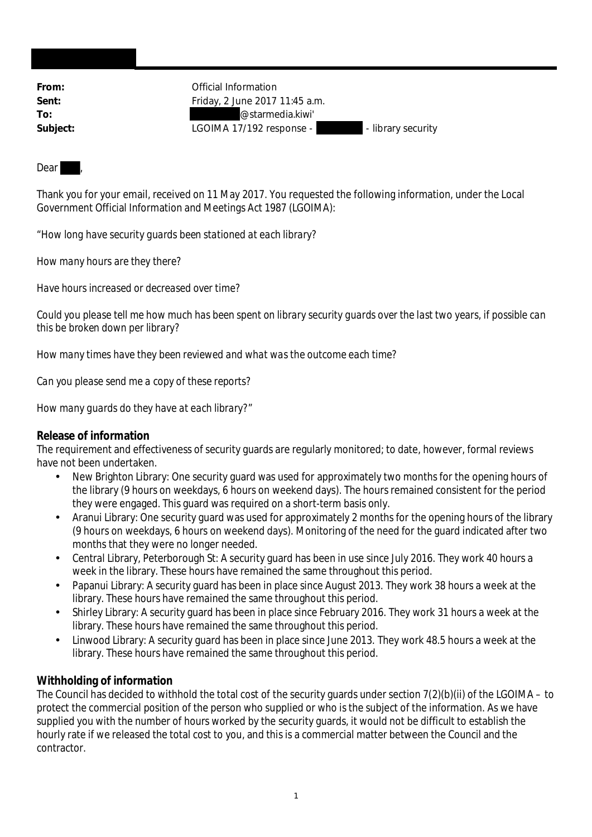**From:** Official Information **Sent:** Friday, 2 June 2017 11:45 a.m. **To:** @starmedia.kiwi' Subject: LGOIMA 17/192 response - - - - library security

## Dear

Thank you for your email, received on 11 May 2017. You requested the following information, under the Local Government Official Information and Meetings Act 1987 (LGOIMA):

"*How long have security guards been stationed at each library?*

*How many hours are they there?*

*Have hours increased or decreased over time?*

*Could you please tell me how much has been spent on library security guards over the last two years, if possible can this be broken down per library?*

*How many times have they been reviewed and what was the outcome each time?*

*Can you please send me a copy of these reports?*

*How many guards do they have at each library?*"

## **Release of information**

The requirement and effectiveness of security guards are regularly monitored; to date, however, formal reviews have not been undertaken.

- New Brighton Library: One security guard was used for approximately two months for the opening hours of the library (9 hours on weekdays, 6 hours on weekend days). The hours remained consistent for the period they were engaged. This guard was required on a short-term basis only.
- Aranui Library: One security guard was used for approximately 2 months for the opening hours of the library (9 hours on weekdays, 6 hours on weekend days). Monitoring of the need for the guard indicated after two months that they were no longer needed.
- Central Library, Peterborough St: A security guard has been in use since July 2016. They work 40 hours a week in the library. These hours have remained the same throughout this period.
- Papanui Library: A security guard has been in place since August 2013. They work 38 hours a week at the library. These hours have remained the same throughout this period.
- Shirley Library: A security guard has been in place since February 2016. They work 31 hours a week at the library. These hours have remained the same throughout this period.
- Linwood Library: A security guard has been in place since June 2013. They work 48.5 hours a week at the library. These hours have remained the same throughout this period.

## **Withholding of information**

The Council has decided to withhold the total cost of the security guards under section 7(2)(b)(ii) of the LGOIMA – to protect the commercial position of the person who supplied or who is the subject of the information. As we have supplied you with the number of hours worked by the security guards, it would not be difficult to establish the hourly rate if we released the total cost to you, and this is a commercial matter between the Council and the contractor.